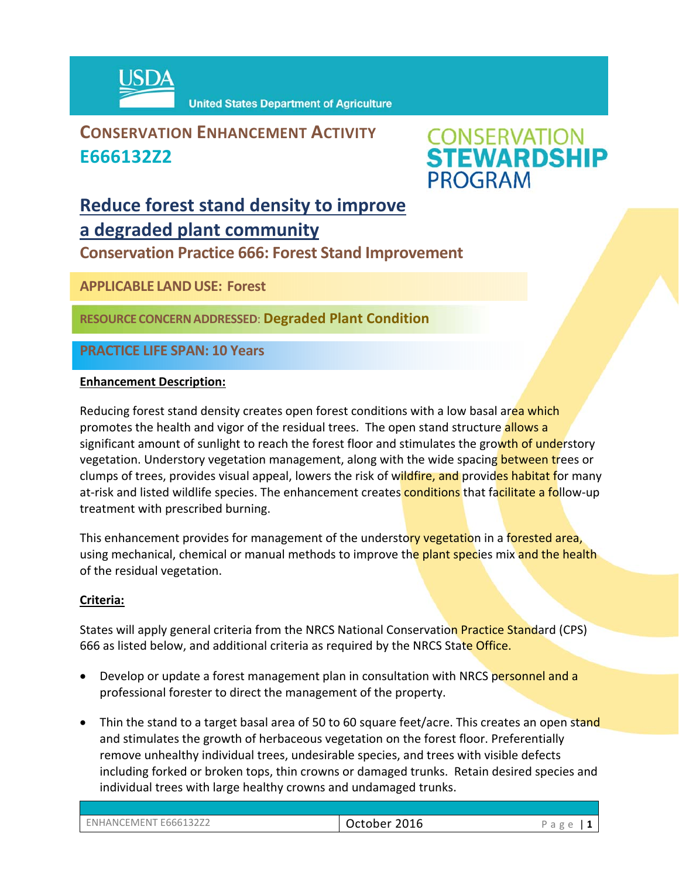

**United States Department of Agriculture** 

### **CONSERVATION ENHANCEMENT ACTIVITY E666132Z2**



### **Reduce forest stand density to improve a degraded plant community**

**Conservation Practice 666: Forest Stand Improvement** 

**APPLICABLE LANDUSE: Forest** 

**RESOURCE CONCERNADDRESSED**: **Degraded Plant Condition**

**PRACTICE LIFE SPAN: 10 Years**

#### **Enhancement Description:**

Reducing forest stand density creates open forest conditions with a low basal area which promotes the health and vigor of the residual trees. The open stand structure allows a significant amount of sunlight to reach the forest floor and stimulates the growth of understory vegetation. Understory vegetation management, along with the wide spacing between trees or clumps of trees, provides visual appeal, lowers the risk of wildfire, and provides habitat for many at-risk and listed wildlife species. The enhancement creates conditions that facilitate a follow-up treatment with prescribed burning.

This enhancement provides for management of the understory vegetation in a forested area, using mechanical, chemical or manual methods to improve the plant species mix and the health of the residual vegetation.

#### **Criteria:**

States will apply general criteria from the NRCS National Conservation Practice Standard (CPS) 666 as listed below, and additional criteria as required by the NRCS State Office.

- Develop or update a forest management plan in consultation with NRCS personnel and a professional forester to direct the management of the property.
- Thin the stand to a target basal area of 50 to 60 square feet/acre. This creates an open stand and stimulates the growth of herbaceous vegetation on the forest floor. Preferentially remove unhealthy individual trees, undesirable species, and trees with visible defects including forked or broken tops, thin crowns or damaged trunks. Retain desired species and individual trees with large healthy crowns and undamaged trunks.

| ENHANCEMENT E666132Z2 | 2016<br>October | $\sigma$<br>$\sim$<br>◡<br>d<br>∽<br>◡ |
|-----------------------|-----------------|----------------------------------------|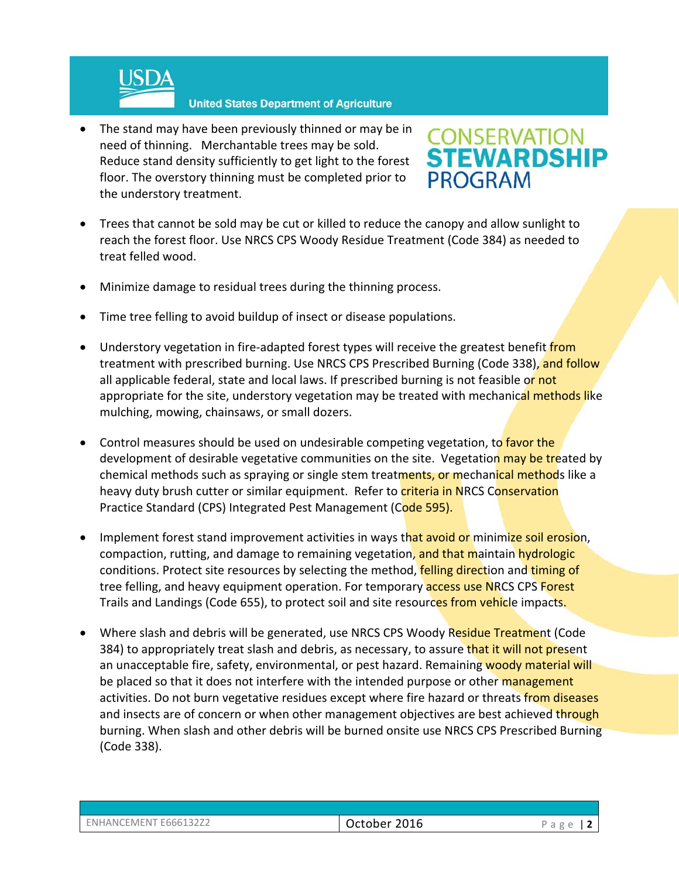

• The stand may have been previously thinned or may be in need of thinning. Merchantable trees may be sold. Reduce stand density sufficiently to get light to the forest floor. The overstory thinning must be completed prior to the understory treatment.

# **CONSERVATION<br>STEWARDSHIP PROGRAM**

- Trees that cannot be sold may be cut or killed to reduce the canopy and allow sunlight to reach the forest floor. Use NRCS CPS Woody Residue Treatment (Code 384) as needed to treat felled wood.
- Minimize damage to residual trees during the thinning process.
- Time tree felling to avoid buildup of insect or disease populations.
- Understory vegetation in fire-adapted forest types will receive the greatest benefit from treatment with prescribed burning. Use NRCS CPS Prescribed Burning (Code 338), and follow all applicable federal, state and local laws. If prescribed burning is not feasible or not appropriate for the site, understory vegetation may be treated with mechanical methods like mulching, mowing, chainsaws, or small dozers.
- Control measures should be used on undesirable competing vegetation, to favor the development of desirable vegetative communities on the site. Vegetation may be treated by chemical methods such as spraying or single stem treatments, or mechanical methods like a heavy duty brush cutter or similar equipment. Refer to criteria in NRCS Conservation Practice Standard (CPS) Integrated Pest Management (Code 595).
- Implement forest stand improvement activities in ways that avoid or minimize soil erosion, compaction, rutting, and damage to remaining vegetation, and that maintain hydrologic conditions. Protect site resources by selecting the method, felling direction and timing of tree felling, and heavy equipment operation. For temporary **access use NRCS CPS Forest** Trails and Landings (Code 655), to protect soil and site resources from vehicle impacts.
- Where slash and debris will be generated, use NRCS CPS Woody Residue Treatment (Code 384) to appropriately treat slash and debris, as necessary, to assure that it will not present an unacceptable fire, safety, environmental, or pest hazard. Remaining woody material will be placed so that it does not interfere with the intended purpose or other management activities. Do not burn vegetative residues except where fire hazard or threats from diseases and insects are of concern or when other management objectives are best achieved through burning. When slash and other debris will be burned onsite use NRCS CPS Prescribed Burning (Code 338).

| ENHANCEMENT E666132Z2 |  |
|-----------------------|--|
|                       |  |